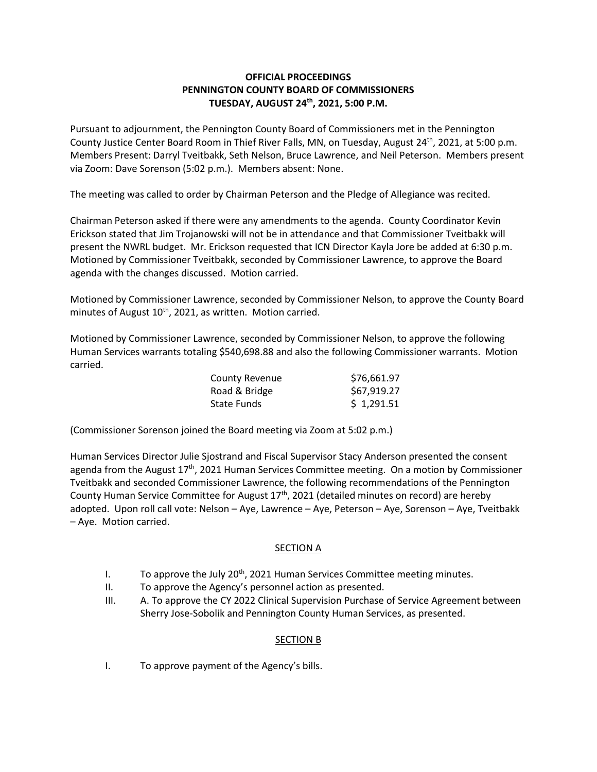## **OFFICIAL PROCEEDINGS PENNINGTON COUNTY BOARD OF COMMISSIONERS TUESDAY, AUGUST 24th, 2021, 5:00 P.M.**

Pursuant to adjournment, the Pennington County Board of Commissioners met in the Pennington County Justice Center Board Room in Thief River Falls, MN, on Tuesday, August 24th, 2021, at 5:00 p.m. Members Present: Darryl Tveitbakk, Seth Nelson, Bruce Lawrence, and Neil Peterson. Members present via Zoom: Dave Sorenson (5:02 p.m.). Members absent: None.

The meeting was called to order by Chairman Peterson and the Pledge of Allegiance was recited.

Chairman Peterson asked if there were any amendments to the agenda. County Coordinator Kevin Erickson stated that Jim Trojanowski will not be in attendance and that Commissioner Tveitbakk will present the NWRL budget. Mr. Erickson requested that ICN Director Kayla Jore be added at 6:30 p.m. Motioned by Commissioner Tveitbakk, seconded by Commissioner Lawrence, to approve the Board agenda with the changes discussed. Motion carried.

Motioned by Commissioner Lawrence, seconded by Commissioner Nelson, to approve the County Board minutes of August  $10^{th}$ , 2021, as written. Motion carried.

Motioned by Commissioner Lawrence, seconded by Commissioner Nelson, to approve the following Human Services warrants totaling \$540,698.88 and also the following Commissioner warrants. Motion carried.

| <b>County Revenue</b> | \$76,661.97 |
|-----------------------|-------------|
| Road & Bridge         | \$67,919.27 |
| State Funds           | \$1,291.51  |

(Commissioner Sorenson joined the Board meeting via Zoom at 5:02 p.m.)

Human Services Director Julie Sjostrand and Fiscal Supervisor Stacy Anderson presented the consent agenda from the August  $17<sup>th</sup>$ , 2021 Human Services Committee meeting. On a motion by Commissioner Tveitbakk and seconded Commissioner Lawrence, the following recommendations of the Pennington County Human Service Committee for August  $17<sup>th</sup>$ , 2021 (detailed minutes on record) are hereby adopted. Upon roll call vote: Nelson – Aye, Lawrence – Aye, Peterson – Aye, Sorenson – Aye, Tveitbakk – Aye. Motion carried.

# SECTION A

- I. To approve the July 20<sup>th</sup>, 2021 Human Services Committee meeting minutes.
- II. To approve the Agency's personnel action as presented.
- III. A. To approve the CY 2022 Clinical Supervision Purchase of Service Agreement between Sherry Jose-Sobolik and Pennington County Human Services, as presented.

### SECTION B

I. To approve payment of the Agency's bills.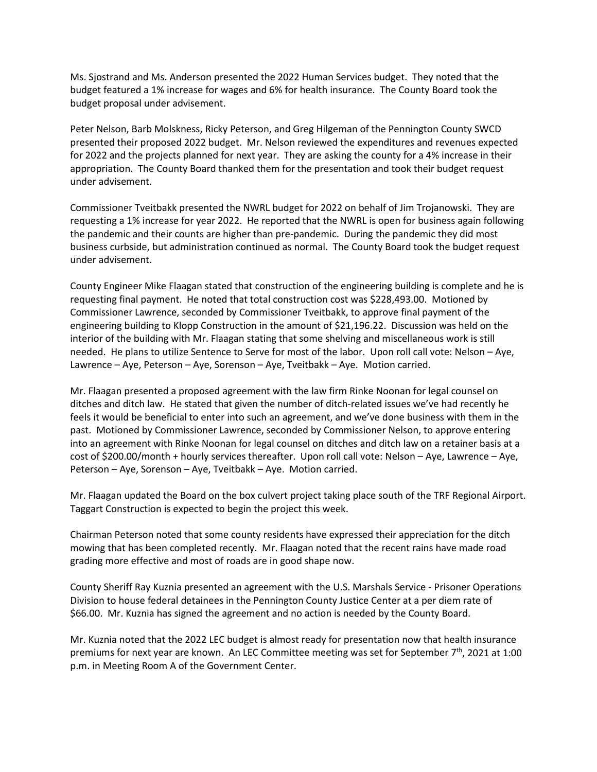Ms. Sjostrand and Ms. Anderson presented the 2022 Human Services budget. They noted that the budget featured a 1% increase for wages and 6% for health insurance. The County Board took the budget proposal under advisement.

Peter Nelson, Barb Molskness, Ricky Peterson, and Greg Hilgeman of the Pennington County SWCD presented their proposed 2022 budget. Mr. Nelson reviewed the expenditures and revenues expected for 2022 and the projects planned for next year. They are asking the county for a 4% increase in their appropriation. The County Board thanked them for the presentation and took their budget request under advisement.

Commissioner Tveitbakk presented the NWRL budget for 2022 on behalf of Jim Trojanowski. They are requesting a 1% increase for year 2022. He reported that the NWRL is open for business again following the pandemic and their counts are higher than pre-pandemic. During the pandemic they did most business curbside, but administration continued as normal. The County Board took the budget request under advisement.

County Engineer Mike Flaagan stated that construction of the engineering building is complete and he is requesting final payment. He noted that total construction cost was \$228,493.00. Motioned by Commissioner Lawrence, seconded by Commissioner Tveitbakk, to approve final payment of the engineering building to Klopp Construction in the amount of \$21,196.22. Discussion was held on the interior of the building with Mr. Flaagan stating that some shelving and miscellaneous work is still needed. He plans to utilize Sentence to Serve for most of the labor. Upon roll call vote: Nelson – Aye, Lawrence – Aye, Peterson – Aye, Sorenson – Aye, Tveitbakk – Aye. Motion carried.

Mr. Flaagan presented a proposed agreement with the law firm Rinke Noonan for legal counsel on ditches and ditch law. He stated that given the number of ditch-related issues we've had recently he feels it would be beneficial to enter into such an agreement, and we've done business with them in the past. Motioned by Commissioner Lawrence, seconded by Commissioner Nelson, to approve entering into an agreement with Rinke Noonan for legal counsel on ditches and ditch law on a retainer basis at a cost of \$200.00/month + hourly services thereafter. Upon roll call vote: Nelson – Aye, Lawrence – Aye, Peterson – Aye, Sorenson – Aye, Tveitbakk – Aye. Motion carried.

Mr. Flaagan updated the Board on the box culvert project taking place south of the TRF Regional Airport. Taggart Construction is expected to begin the project this week.

Chairman Peterson noted that some county residents have expressed their appreciation for the ditch mowing that has been completed recently. Mr. Flaagan noted that the recent rains have made road grading more effective and most of roads are in good shape now.

County Sheriff Ray Kuznia presented an agreement with the U.S. Marshals Service - Prisoner Operations Division to house federal detainees in the Pennington County Justice Center at a per diem rate of \$66.00. Mr. Kuznia has signed the agreement and no action is needed by the County Board.

Mr. Kuznia noted that the 2022 LEC budget is almost ready for presentation now that health insurance premiums for next year are known. An LEC Committee meeting was set for September 7th, 2021 at 1:00 p.m. in Meeting Room A of the Government Center.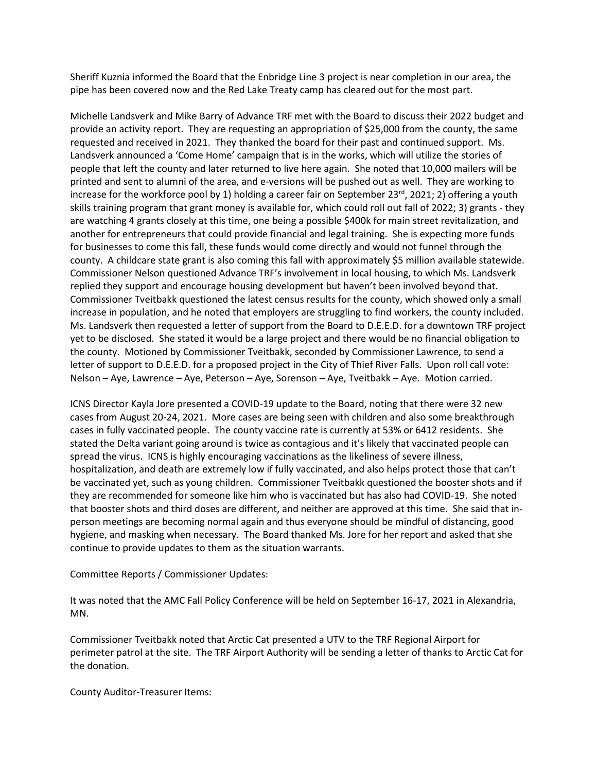Sheriff Kuznia informed the Board that the Enbridge Line 3 project is near completion in our area, the pipe has been covered now and the Red Lake Treaty camp has cleared out for the most part.

Michelle Landsverk and Mike Barry of Advance TRF met with the Board to discuss their 2022 budget and provide an activity report. They are requesting an appropriation of \$25,000 from the county, the same requested and received in 2021. They thanked the board for their past and continued support. Ms. Landsverk announced a 'Come Home' campaign that is in the works, which will utilize the stories of people that left the county and later returned to live here again. She noted that 10,000 mailers will be printed and sent to alumni of the area, and e-versions will be pushed out as well. They are working to increase for the workforce pool by 1) holding a career fair on September 23 $^{\text{rd}}$ , 2021; 2) offering a youth skills training program that grant money is available for, which could roll out fall of 2022; 3) grants - they are watching 4 grants closely at this time, one being a possible \$400k for main street revitalization, and another for entrepreneurs that could provide financial and legal training. She is expecting more funds for businesses to come this fall, these funds would come directly and would not funnel through the county. A childcare state grant is also coming this fall with approximately \$5 million available statewide. Commissioner Nelson questioned Advance TRF's involvement in local housing, to which Ms. Landsverk replied they support and encourage housing development but haven't been involved beyond that. Commissioner Tveitbakk questioned the latest census results for the county, which showed only a small increase in population, and he noted that employers are struggling to find workers, the county included. Ms. Landsverk then requested a letter of support from the Board to D.E.E.D. for a downtown TRF project yet to be disclosed. She stated it would be a large project and there would be no financial obligation to the county. Motioned by Commissioner Tveitbakk, seconded by Commissioner Lawrence, to send a letter of support to D.E.E.D. for a proposed project in the City of Thief River Falls. Upon roll call vote: Nelson – Aye, Lawrence – Aye, Peterson – Aye, Sorenson – Aye, Tveitbakk – Aye. Motion carried.

ICNS Director Kayla Jore presented a COVID-19 update to the Board, noting that there were 32 new cases from August 20-24, 2021. More cases are being seen with children and also some breakthrough cases in fully vaccinated people. The county vaccine rate is currently at 53% or 6412 residents. She stated the Delta variant going around is twice as contagious and it's likely that vaccinated people can spread the virus. ICNS is highly encouraging vaccinations as the likeliness of severe illness, hospitalization, and death are extremely low if fully vaccinated, and also helps protect those that can't be vaccinated yet, such as young children. Commissioner Tveitbakk questioned the booster shots and if they are recommended for someone like him who is vaccinated but has also had COVID-19. She noted that booster shots and third doses are different, and neither are approved at this time. She said that inperson meetings are becoming normal again and thus everyone should be mindful of distancing, good hygiene, and masking when necessary. The Board thanked Ms. Jore for her report and asked that she continue to provide updates to them as the situation warrants.

### Committee Reports / Commissioner Updates:

It was noted that the AMC Fall Policy Conference will be held on September 16-17, 2021 in Alexandria, MN.

Commissioner Tveitbakk noted that Arctic Cat presented a UTV to the TRF Regional Airport for perimeter patrol at the site. The TRF Airport Authority will be sending a letter of thanks to Arctic Cat for the donation.

County Auditor-Treasurer Items: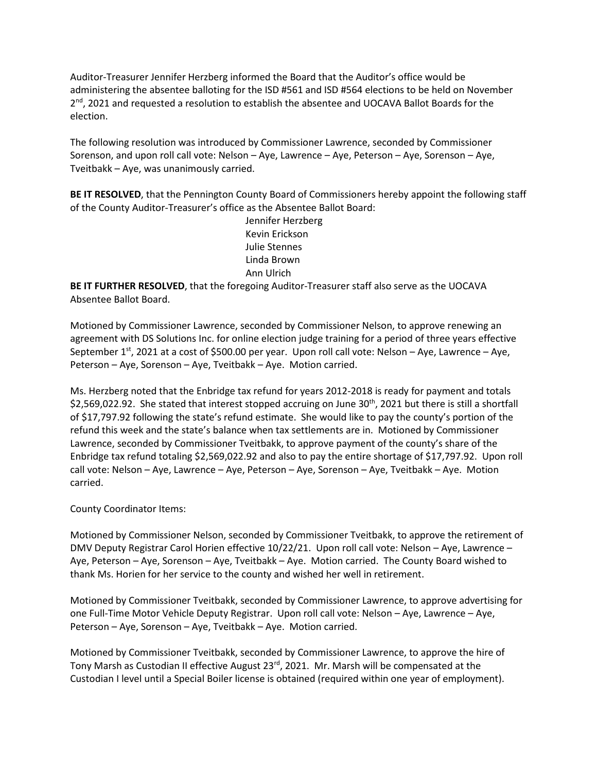Auditor-Treasurer Jennifer Herzberg informed the Board that the Auditor's office would be administering the absentee balloting for the ISD #561 and ISD #564 elections to be held on November  $2<sup>nd</sup>$ , 2021 and requested a resolution to establish the absentee and UOCAVA Ballot Boards for the election.

The following resolution was introduced by Commissioner Lawrence, seconded by Commissioner Sorenson, and upon roll call vote: Nelson – Aye, Lawrence – Aye, Peterson – Aye, Sorenson – Aye, Tveitbakk – Aye, was unanimously carried.

**BE IT RESOLVED**, that the Pennington County Board of Commissioners hereby appoint the following staff of the County Auditor-Treasurer's office as the Absentee Ballot Board:

> Jennifer Herzberg Kevin Erickson Julie Stennes Linda Brown Ann Ulrich

**BE IT FURTHER RESOLVED**, that the foregoing Auditor-Treasurer staff also serve as the UOCAVA Absentee Ballot Board.

Motioned by Commissioner Lawrence, seconded by Commissioner Nelson, to approve renewing an agreement with DS Solutions Inc. for online election judge training for a period of three years effective September 1<sup>st</sup>, 2021 at a cost of \$500.00 per year. Upon roll call vote: Nelson – Aye, Lawrence – Aye, Peterson – Aye, Sorenson – Aye, Tveitbakk – Aye. Motion carried.

Ms. Herzberg noted that the Enbridge tax refund for years 2012-2018 is ready for payment and totals \$2,569,022.92. She stated that interest stopped accruing on June 30<sup>th</sup>, 2021 but there is still a shortfall of \$17,797.92 following the state's refund estimate. She would like to pay the county's portion of the refund this week and the state's balance when tax settlements are in. Motioned by Commissioner Lawrence, seconded by Commissioner Tveitbakk, to approve payment of the county's share of the Enbridge tax refund totaling \$2,569,022.92 and also to pay the entire shortage of \$17,797.92. Upon roll call vote: Nelson – Aye, Lawrence – Aye, Peterson – Aye, Sorenson – Aye, Tveitbakk – Aye. Motion carried.

County Coordinator Items:

Motioned by Commissioner Nelson, seconded by Commissioner Tveitbakk, to approve the retirement of DMV Deputy Registrar Carol Horien effective 10/22/21. Upon roll call vote: Nelson – Aye, Lawrence – Aye, Peterson – Aye, Sorenson – Aye, Tveitbakk – Aye. Motion carried. The County Board wished to thank Ms. Horien for her service to the county and wished her well in retirement.

Motioned by Commissioner Tveitbakk, seconded by Commissioner Lawrence, to approve advertising for one Full-Time Motor Vehicle Deputy Registrar. Upon roll call vote: Nelson – Aye, Lawrence – Aye, Peterson – Aye, Sorenson – Aye, Tveitbakk – Aye. Motion carried.

Motioned by Commissioner Tveitbakk, seconded by Commissioner Lawrence, to approve the hire of Tony Marsh as Custodian II effective August 23rd, 2021. Mr. Marsh will be compensated at the Custodian I level until a Special Boiler license is obtained (required within one year of employment).